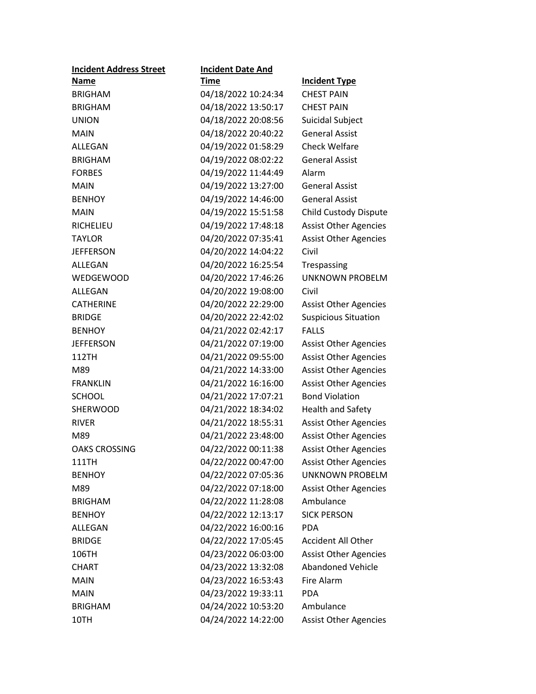| <b>Incident Address Street</b> | <b>Incident Date And</b> |                              |
|--------------------------------|--------------------------|------------------------------|
| <b>Name</b>                    | <b>Time</b>              | <b>Incident Type</b>         |
| <b>BRIGHAM</b>                 | 04/18/2022 10:24:34      | <b>CHEST PAIN</b>            |
| <b>BRIGHAM</b>                 | 04/18/2022 13:50:17      | <b>CHEST PAIN</b>            |
| <b>UNION</b>                   | 04/18/2022 20:08:56      | <b>Suicidal Subject</b>      |
| <b>MAIN</b>                    | 04/18/2022 20:40:22      | <b>General Assist</b>        |
| ALLEGAN                        | 04/19/2022 01:58:29      | <b>Check Welfare</b>         |
| <b>BRIGHAM</b>                 | 04/19/2022 08:02:22      | <b>General Assist</b>        |
| <b>FORBES</b>                  | 04/19/2022 11:44:49      | Alarm                        |
| <b>MAIN</b>                    | 04/19/2022 13:27:00      | <b>General Assist</b>        |
| <b>BENHOY</b>                  | 04/19/2022 14:46:00      | <b>General Assist</b>        |
| <b>MAIN</b>                    | 04/19/2022 15:51:58      | Child Custody Dispute        |
| <b>RICHELIEU</b>               | 04/19/2022 17:48:18      | <b>Assist Other Agencies</b> |
| <b>TAYLOR</b>                  | 04/20/2022 07:35:41      | <b>Assist Other Agencies</b> |
| <b>JEFFERSON</b>               | 04/20/2022 14:04:22      | Civil                        |
| ALLEGAN                        | 04/20/2022 16:25:54      | Trespassing                  |
| <b>WEDGEWOOD</b>               | 04/20/2022 17:46:26      | <b>UNKNOWN PROBELM</b>       |
| ALLEGAN                        | 04/20/2022 19:08:00      | Civil                        |
| <b>CATHERINE</b>               | 04/20/2022 22:29:00      | <b>Assist Other Agencies</b> |
| <b>BRIDGE</b>                  | 04/20/2022 22:42:02      | <b>Suspicious Situation</b>  |
| <b>BENHOY</b>                  | 04/21/2022 02:42:17      | <b>FALLS</b>                 |
| <b>JEFFERSON</b>               | 04/21/2022 07:19:00      | <b>Assist Other Agencies</b> |
| 112TH                          | 04/21/2022 09:55:00      | <b>Assist Other Agencies</b> |
| M89                            | 04/21/2022 14:33:00      | <b>Assist Other Agencies</b> |
| <b>FRANKLIN</b>                | 04/21/2022 16:16:00      | <b>Assist Other Agencies</b> |
| <b>SCHOOL</b>                  | 04/21/2022 17:07:21      | <b>Bond Violation</b>        |
| <b>SHERWOOD</b>                | 04/21/2022 18:34:02      | <b>Health and Safety</b>     |
| <b>RIVER</b>                   | 04/21/2022 18:55:31      | <b>Assist Other Agencies</b> |
| M89                            | 04/21/2022 23:48:00      | <b>Assist Other Agencies</b> |
| <b>OAKS CROSSING</b>           | 04/22/2022 00:11:38      | <b>Assist Other Agencies</b> |
| 111TH                          | 04/22/2022 00:47:00      | <b>Assist Other Agencies</b> |
| <b>BENHOY</b>                  | 04/22/2022 07:05:36      | <b>UNKNOWN PROBELM</b>       |
| M89                            | 04/22/2022 07:18:00      | <b>Assist Other Agencies</b> |
| <b>BRIGHAM</b>                 | 04/22/2022 11:28:08      | Ambulance                    |
| <b>BENHOY</b>                  | 04/22/2022 12:13:17      | <b>SICK PERSON</b>           |
| ALLEGAN                        | 04/22/2022 16:00:16      | <b>PDA</b>                   |
| <b>BRIDGE</b>                  | 04/22/2022 17:05:45      | <b>Accident All Other</b>    |
| 106TH                          | 04/23/2022 06:03:00      | <b>Assist Other Agencies</b> |
| <b>CHART</b>                   | 04/23/2022 13:32:08      | <b>Abandoned Vehicle</b>     |
| <b>MAIN</b>                    | 04/23/2022 16:53:43      | Fire Alarm                   |
| <b>MAIN</b>                    | 04/23/2022 19:33:11      | <b>PDA</b>                   |
| <b>BRIGHAM</b>                 | 04/24/2022 10:53:20      | Ambulance                    |
| 10TH                           | 04/24/2022 14:22:00      | <b>Assist Other Agencies</b> |
|                                |                          |                              |